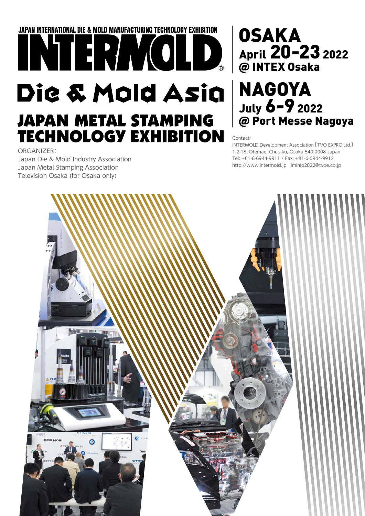## **JAPAN INTERNATIONAL DIE & MOLD MANUFACTURING TECHNOLOGY EXHIBITION** INTERMOLD. Die & Mold Asia **JAPAN METAL STAMPING TECHNOLOGY EXHIBITION**

ORGANIZER: Japan Die & Mold Industry Association Japan Metal Stamping Association Television Osaka (for Osaka only)

## **OSAKA** April 20-@ INTEX Osaka

# July 6-9 20 @ Port Messe Nagoya

Contact:

INTERMOLD Development Association [ TVO EXPRO Ltd. ] 1-2-15, Otemae, Chuo-ku, Osaka 540-0008 Japan Tel: +81-6-6944-9911 / Fax: +81-6-6944-9912 http://www.intermold.jp iminfo2022@tvoe.co.jp

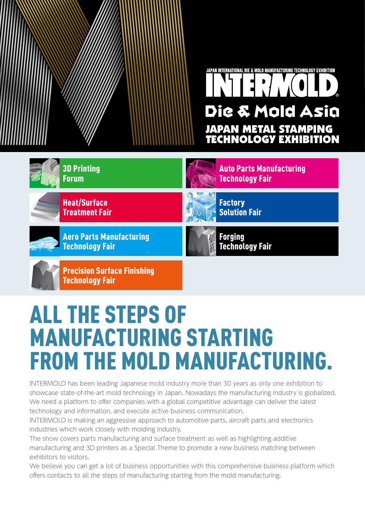

Auto Parts Manufacturing



Heat/Surface Treatment Fair

Aero Parts Manufacturing Technology Fair



**Factory** Solution Fair

Technology Fair

Forging Technology Fair

Precision Surface Finishing Technology Fair

## ALL THE STEPS OF MANUFACTURING STARTING FROM THE MOLD MANUFACTURING.

INTERMOLD has been leading Japanese mold industry more than 30 years as only one exhibition to showcase state-of-the-art mold technology in Japan. Nowadays the manufacturing industry is globalized. We need a platform to offer companies with a global competitive advantage can deliver the latest technology and information, and execute active business communication.

INTERMOLD is making an aggressive approach to automotive parts, aircraft parts and electronics industries which work closely with molding industry.

The show covers parts manufacturing and surface treatment as well as highlighting additive manufacturing and 3D printers as a Special Theme to promote a new business matching between exhibitors to visitors.

We believe you can get a lot of business opportunities with this comprehensive business platform which offers contacts to all the steps of manufacturing starting from the mold manufacturing.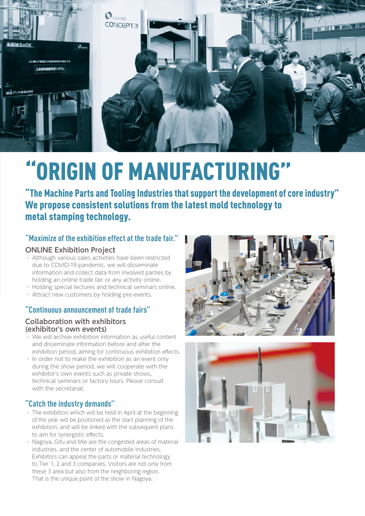

# "ORIGIN OF MANUFACTURING"

"The Machine Parts and Tooling Industries that support the development of core industry" We propose consistent solutions from the latest mold technology to metal stamping technology.

## **"Maximize of the exhibition effect at the trade fair."**

### **ONLINE Exhibition Project**

- ・ Although various sales activities have been restricted due to COVID-19 pandemic, we will disseminate information and collect data from involved parties by holding an online trade fair or any activity online.
- ・ Holding special lectures and technical seminars online.
- ・ Attract new customers by holding pre-events.

## **"Continuous announcement of trade fairs"**

### **Collaboration with exhibitors (exhibitor's own events)**

- ・ We will archive exhibition information as useful content and disseminate information before and after the exhibition period, aiming for continuous exhibition effects.
- ・ In order not to make the exhibition as an event only during the show period, we will cooperate with the exhibitor's own events such as private shows, technical seminars or factory tours. Please consult with the secretariat.

## **"Catch the industry demands"**

- $\cdot$  The exhibition which will be held in April at the beginning of the year will be positioned as the start planning of the exhibition, and will be linked with the subsequent plans to aim for synergistic effects.
- ・ Nagoya, Gifu and Mie are the congested areas of material industries, and the center of automobile industries. Exhibitors can appeal the parts or material technology to Tier 1, 2 and 3 companies. Visitors are not only from these 3 area but also from the neighboring region. That is the unique point of the show in Nagoya.



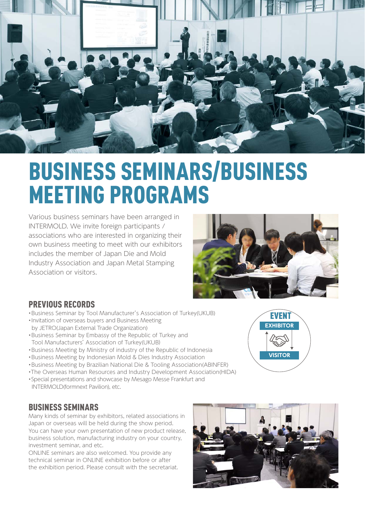

## BUSINESS SEMINARS/BUSINESS MEETING PROGRAMS

Various business seminars have been arranged in INTERMOLD. We invite foreign participants / associations who are interested in organizing their own business meeting to meet with our exhibitors includes the member of Japan Die and Mold Industry Association and Japan Metal Stamping Association or visitors.



## PREVIOUS RECORDS

- •Business Seminar by Tool Manufacturer's Association of Turkey(UKUB)
- •Invitation of overseas buyers and Business Meeting by JETRO(Japan External Trade Organization)
- •Business Seminar by Embassy of the Republic of Turkey and Tool Manufacturers' Association of Turkey(UKUB)
- •Business Meeting by Ministry of industry of the Republic of Indonesia
- •Business Meeting by Indonesian Mold & Dies Industry Association
- •Business Meeting by Brazilian National Die & Tooling Association(ABINFER)
- •The Overseas Human Resources and Industry Development Association(HIDA)
- •Special presentations and showcase by Mesago Messe Frankfurt and INTERMOLD(formnext Pavilion), etc.

## BUSINESS SEMINARS

Many kinds of seminar by exhibitors, related associations in Japan or overseas will be held during the show period. You can have your own presentation of new product release, business solution, manufacturing industry on your country, investment seminar, and etc.

ONLINE seminars are also welcomed. You provide any technical seminar in ONLINE exhibition before or after the exhibition period. Please consult with the secretariat.



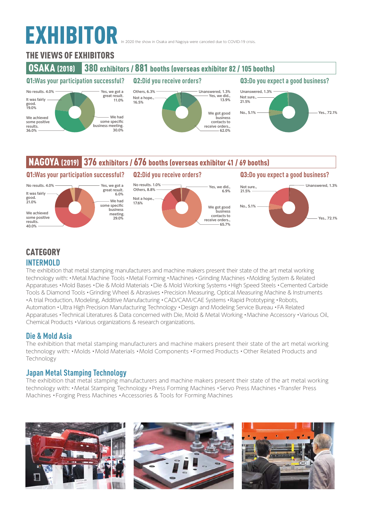# EXHIBITOR

2020 the show in Osaka and Nagoya were canceled due to COVID-19 crisis.

## THE VIEWS OF EXHIBITORS





## NAGOYA (2019) 376 exhibitors / 676 booths (overseas exhibitor 41 / 69 booths)



## **CATEGORY INTERMOLD**

The exhibition that metal stamping manufacturers and machine makers present their state of the art metal working technology with: •Metal Machine Tools •Metal Forming •Machines •Grinding Machines •Molding System & Related Apparatuses •Mold Bases •Die & Mold Materials •Die & Mold Working Systems •High Speed Steels •Cemented Carbide Tools & Diamond Tools •Grinding Wheel & Abrasives •Precision Measuring, Optical Measuring Machine & Instruments •A trial Production, Modeling, Additive Manufacturing •CAD/CAM/CAE Systems •Rapid Prototyping •Robots, Automation •Ultra High Precision Manufacturing Technology •Design and Modeling Service Bureau •FA Related Apparatuses •Technical Literatures & Data concerned with Die, Mold & Metal Working •Machine Accessory •Various Oil, Chemical Products •Various organizations & research organizations.

## **Die & Mold Asia**

The exhibition that metal stamping manufacturers and machine makers present their state of the art metal working technology with: •Molds •Mold Materials •Mold Components •Formed Products •Other Related Products and Technology

## **Japan Metal Stamping Technology**

The exhibition that metal stamping manufacturers and machine makers present their state of the art metal working technology with: •Metal Stamping Technology •Press Forming Machines •Servo Press Machines •Transfer Press Machines •Forging Press Machines •Accessories & Tools for Forming Machines

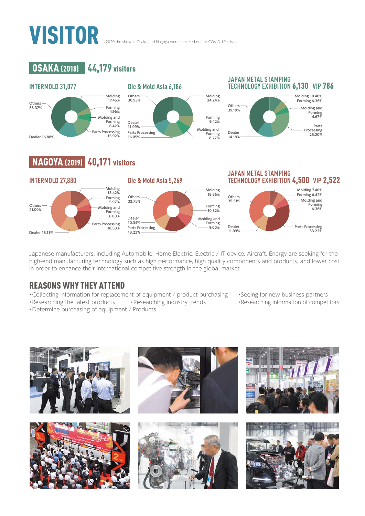# VISITOR

## **OSAKA (2018)** 44,179 visitors



## **JAPAN METAL STAMPING**



## **NAGOYA (2019)** 40,171 visitors



Japanese manufacturers, including Automobile, Home Electric, Electric / IT device, Aircraft, Energy are seeking for the high-end manufacturing technology such as high performance, high quality components and products, and lower cost in order to enhance their international competitive strength in the global market.

## REASONS WHY THEY ATTEND

- •Collecting information for replacement of equipment / product purchasing •Seeing for new business partners
- •Researching the latest products •Researching industry trends •Researching information of competitors
- •Determine purchasing of equipment / Products
- 
- 

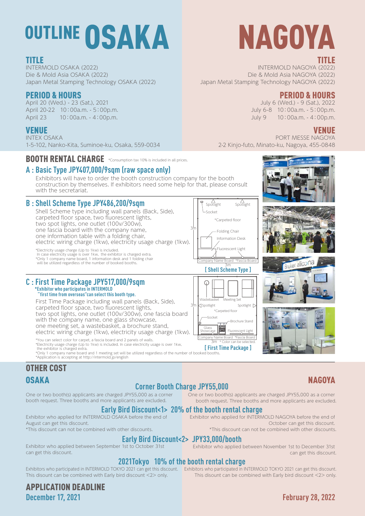# OUTLINE OSAKA

## TITLE

INTERMOLD OSAKA (2022) Die & Mold Asia OSAKA (2022) Japan Metal Stamping Technology OSAKA (2022)

## PERIOD & HOURS

April 20 (Wed.) - 23 (Sat.), 2021 April 20-22 10:00a.m. - 5:00p.m. April 23 10:00a.m. - 4:00p.m.

## VENUE

INTEX OSAKA 1-5-102, Nanko-Kita, Suminoe-ku, Osaka, 559-0034

BOOTH RENTAL CHARGE \*Consumption tax 10% is included in all prices.

## **A : Basic Type JPY407,000/9sqm (raw space only)**

Exhibitors will have to order the booth construction company for the booth construction by themselves. If exhibitors need some help for that, please consult with the secretariat.

## **B : Shell Scheme Type JPY486,200/9sqm**

Shell Scheme type including wall panels (Back, Side), carpeted floor space, two fluorescent lights, two spot lights, one outlet (100v/300w), one fascia board with the company name, one information table with a folding chair, electric wiring charge (1kw), electricity usage charge (1kw).

\*Electricity usage charge (Up to 1kw) is included.<br> In case electricity usage is over 1kw, the exhibitor is charged extra.<br>\*Only 1 company name board, 1 information desk and 1 folding chair will be utilized regardless of the number of booked booths.

#### **C : First Time Package JPY517,000/9sqm \*Exhibitor who participates in INTERMOLD "first time from overseas"can select this booth type.**

First Time Package including wall panels (Back, Side), carpeted floor space, two fluorescent lights, two spot lights, one outlet (100v/300w), one fascia board with the company name, one glass showcase, one meeting set, a wastebasket, a brochure stand, electric wiring charge (1kw), electricity usage charge (1kw).

The secure color for capper, a rascia board and 2 partes or watis.<br>
"Electricity usage is over 1kw,<br>
the exhibitor is charged extra. [Instead of the exhibitor is charged extra.<br>
"Only 1 company name board and 1 meeting set \*You can select color for carpet, a fascia board and 2 panels of walls.

\*Application is accepting at http://intermold.jp/english

## OTHER COST

#### One or two booth(s) applicants are charged JPY55,000 as a corner **Corner Booth Charge JPY55,000**

One or two booth(s) applicants are charged JPY55,000 as a corner booth request. Three booths and more applicants are excluded.

#### **Early Bird Discount<1> 20% of the booth rental charge** Exhibitor who applied for INTERMOLD NAGOYA before the end of

Exhibitor who applied for INTERMOLD OSAKA before the end of August can get this discount. \*This discount can not be combined with other discounts.

booth request. Three booths and more applicants are excluded.

**Early Bird Discount<2> JPY33,000/booth**<br>Exhibitor who applied between September 1st to October 31st **Exhibitor who applied** can get this discount.

Socket

3m

3m

Company Name Board

Socket

\*Carpeted floor Meeting Se

Glass Showcase

\*Carpeted floor

Folding Chair

Exhibitor who applied between November 1st to December 31st can get this discount.

\*This discount can not be combined with other discounts.

### **2021Tokyo 10% of the booth rental charge**

Exhibitors who participated in INTERMOLD TOKYO 2021 can get this discount. Exhibitors who participated in INTERMOLD TOKYO 2021 can get this discount. This disount can be combined with Early bird discount <2> only.

APPLICATION DEADLINE

This disount can be combined with Early bird discount <2> only.

## TITLE

INTERMOLD NAGOYA (2022) Die & Mold Asia NAGOYA (2022) Japan Metal Stamping Technology NAGOYA (2022)

## PERIOD & HOURS

July 6 (Wed.) - 9 (Sat.), 2022 July 6-8 10:00a.m. - 5:00p.m. July 9 10:00a.m. - 4:00p.m.

NAGOYA

## VENUE

PORT MESSE NAGOYA 2-2 Kinjo-futo, Minato-ku, Nagoya, 455-0848





October can get this discount.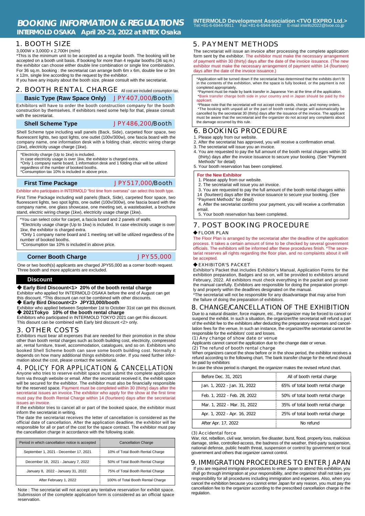3,000W x 3,000D x 2,700H (m/m)

\*This is the minimum unit to be accepted as a regular booth. The booking will be accepted on a booth unit basis. If booking for more than 4 regular booths (36 sq.m.) the exhibitor can choose either double line combination or single line combination. For 36 sq.m. booking : the secretariat can arrange both 6m x 6m, double line or 3m x 12m, single line according to the request by the exhibitor.

If you have any inquiry about the booth size, please consult with the secretariat.

#### 2. BOOTH RENTAL CHARGE All cost are included consumption tax. **Basic Type (Raw Space Only)** JPY407,000/Booth

Exhibitors will have to order the booth construction company for the booth construction by themselves. If exhibitors need some help for that, please consult with the secretariat.

**Shell Scheme Type** JPY486,200/Booth

Shell Scheme type including wall panels (Back, Side), carpeted floor space, two fluorescent lights, two spot lights, one outlet (100v/300w), one fascia board with the company name, one information desk with a folding chair, electric wiring charge (1kw), electricity usage charge (1kw).

\*Electricity charge (Up to 1kw) is included.

In case electricity usage is over 1kw, the exhibitor is charged extra. \*Only 1 company name board, 1 information desk and 1 folding chair will be utilized

regardless of the number of booked booths. \*Consumption tax 10% is included in above price.

#### **First Time Package** JPY517,000/Booth

Exhibitor who participates in INTERMOLD "first time from overseas" can select this booth type.

First Time Package including wall panels (Back, Side), carpeted floor space, two fluorescent lights, two spot lights, one outlet (100v/300w), one fascia board with the company name, one glass showcase, one meeting set, a wastebasket, a brochure stand, electric wiring charge (1kw), electricity usage charge (1kw).

\*You can select color for carpet, a fascia board and 2 panels of walls.

\*Electricity usage charge (Up to 1kw) is included. In case electricity usage is over

1kw, the exhibitor is charged extra. \*Only 1 company name board and 1 meeting set will be utilized regardless of the number of booked booths.

\*Consumption tax 10% is included in above price.

**Corner Booth Charge JPY55,000** 

One or two booth(s) applicants are charged JPY55,000 as a corner booth request. Three booth and more applicants are excluded.

#### **Discount**

◆ **Early Bird Discount<1> 20% of the booth rental charge**

Exhibitor who applied for INTERMOLD OSAKA before the end of August can get this discount. \*This discount can not be combined with other discounts.

◆ **Early Bird Discount<2> JPY33,000/booth**<br>Exhibitor who applied between September 1st to October 31st can get this discount. ◆ **2021Tokyo 10% of the booth rental charge**

Exhibitors who participated in INTERMOLD TOKYO 2021 can get this discount. This disount can be combined with Early bird discount <2> only.

#### 3. OTHER COSTS

Exhibitors must bear all expenses that are needed for their promotion in the show other than booth rental charges such as booth building cost, electricity, compressed air, rental furniture, travel, accommodation, catalogues, and so on. Exhibitors who booked Shell Scheme booth can save some booth building cost. Normally it depends on how many additional things exhibitors order. If you need further information about the cost, please contact the secretariat.

#### 4. POLICY FOR APPLICATION & CANCELLATION

Anyone who tries to reserve exhibit space must submit the complete application form via through website or email. After the secretariat received it, the exhibit space will be secured for the exhibitor. The exhibitor must also be financially responsible for the reserved space. Payment must be completed within 30 (thirty) days after the secretariat issues an invoice.The exhibitor who apply for the show at the first time must pay the Booth Rental Charge within 14 (fourteen) days after the secretariat issues an invoice.

If the exhibitor tries to cancel all or part of the booked space, the exhibitor must inform the secretariat in writing.

The date the secretariat receives the letter of cancellation is considered as the official date of cancellation. After the application deadline, the exhibitor will be responsible for all or part of the cost for the space contract. The exhibitor must pay the cancellation charge in accordance with the following scale.

| Period in which cancellation notice is accepted | <b>Cancellation Charge</b>        |
|-------------------------------------------------|-----------------------------------|
| September 1, 2021 - December 17, 2021           | 10% of Total Booth Rental Charge  |
| December 18, 2021 - January 7, 2022             | 50% of Total Booth Rental Charge  |
| January 8, 2022 - January 31, 2022              | 75% of Total Booth Rental Charge  |
| After February 1, 2022                          | 100% of Total Booth Rental Charge |

Note : The secretariat will not accept any tentative reservation for exhibit space. Submission of the complete application form is considered as an official space reservation.

**INTERMOLD Development Association <TVO EXPRO Ltd.>** Tel:+81-6-6944-9911 Fax:+81-6-6944-9912 E-mail iminfo2022@tvoe.co.jp

#### 5. PAYMENT METHODS

The secretariat will issue an invoice after processing the complete application form sent by the exhibitor. The exhibitor must make the necessary arrangement of payment within 30 (thirty) days after the date of the invoice issuance. (The new exhibitor must make the necessary arrangement of payment within 14 (fourteen) days after the date of the invoice issuance.)

\*Application will be turned down if the secretariat has determined that the exhibits don't fit in the contents of the exhibition, when the space is fully booked, or the payment is not completed appropriately.

 \*Payment must be made by bank transfer in Japanese Yen at the time of the application. \*Bank transfer charge both side in your country and in Japan should be paid by the applicant

\*Please note that the secretariat will not accept credit cards, checks, and money orders.<br>\*The booking with unpaid all or the part of booth rental charge will automatically be<br>cancelled by the secretariat 30 (thirty) days must be aware that the secretariat and the organizer do not accept any complaints about the damage occurred by this rule.

### 6. BOOKING PROCEDURE

- 1. Please apply from our website.
- 2. After the secretariat has approved, you will receive a confirmation email.
- 3. The secretariat will issue you an invoice.
- 4. You are requested to pay the full amount of the booth rental charges within 30 (thirty) days after the invoice issuance to secure your booking. (See "Payment Methods" for detail)

5. Your booth reservation has been completed.

#### **For the New Exhibitor**

1. Please apply from our website.

2. The secretariat will issue you an invoice.

 3. You are requested to pay the full amount of the booth rental charges within 14 (fourteen) days after the invoice issuance to secure your booking. (See

"Payment Methods" for detail)

 4. After the secretariat confirms your payment, you will receive a confirmation email. 5. Your booth reservation has been completed.

### 7. POST BOOKING PROCEDURE

#### ◆ FLOOR PLAN

The Floor Plan is arranged by the secretariat after the deadline of the application process. It takes a certain amount of time to be checked by several government officials. The exhibitors will be informed after these procedures finish. \*The secretariat reserves all rights regarding the floor plan, and no complaints about it will be accepted.

#### ◆ EXHIBITOR'S PACKET

Exhibitor's Packet that includes Exhibitor's Manual, Application Forms for the exhibition preparation, Badges and so on, will be provided to exhibitors around February, 2022. All exhibitors must check everything in the packet and go over the manual carefully. Exhibitors are responsible for doing the preparation promptly and properly within the deadlines designated on the manual.

\*The secretariat will not be responsible for any disadvantage that may arise from the failure of doing the preparation of exhibitors.

#### 8. CHANGE/CANCELLATION OF THE EXHIBITION

Due to a natural disaster, force majeure, etc., the organizer may be forced to cancel or suspend the exhibit. In such a situation, the organizer/the secretariat will refund a part of the exhibit fee to the exhibitors after deducting the preparatory expenses and cancellation fees for the venue. In such an instance, the organizer/the secretariat cannot be responsible for the exhibitors' cost and losses.

#### (1) Any change of show date or venue

Applicants cannot cancel the application due to the change date or venue.

**(2) The refund of booth rental charge**<br>When organizers cancel the show before or in the show period, the exhibitor receives a refund according to the following chart. The bank transfer charge for the refund should be paid by exhibitors

In case the show period is changed, the organizer makes the revised refund chart.

| Before Dec. 31, 2021         | All of booth rental charge       |
|------------------------------|----------------------------------|
| Jan. 1, 2022 - Jan. 31, 2022 | 65% of total booth rental charge |
| Feb. 1, 2022 - Feb. 28, 2022 | 50% of total booth rental charge |
| Mar. 1, 2022 - Mar. 31, 2022 | 35% of total booth rental charge |
| Apr. 1, 2022 - Apr. 16, 2022 | 25% of total booth rental charge |
| After Apr. 17, 2022          | No refund                        |

#### (3) Accidental force

War, riot, rebellion, civil war, terrorism, fire disaster, burst, flood, property loss, malicious damage, strike, controlled-access, the badness of the weather, third-party suspension, national defense, public health threat, suspension or control by government or local government and others that organizer cannot control.

#### 9. IMMIGRATION PROCEDURES TO ENTER JAPAN

 If you are required immigration procedures to enter Japan to attend this exhibition, you shall go through immigration at your responsibility, and the organizer shall not take any responsibility for all procedures including immigration and expenses. Also, when you cancel the exhibition because you cannot enter Japan for any reason, you must pay the cancellation fee to the organizer according to the prescribed cancellation charge in the regulation.